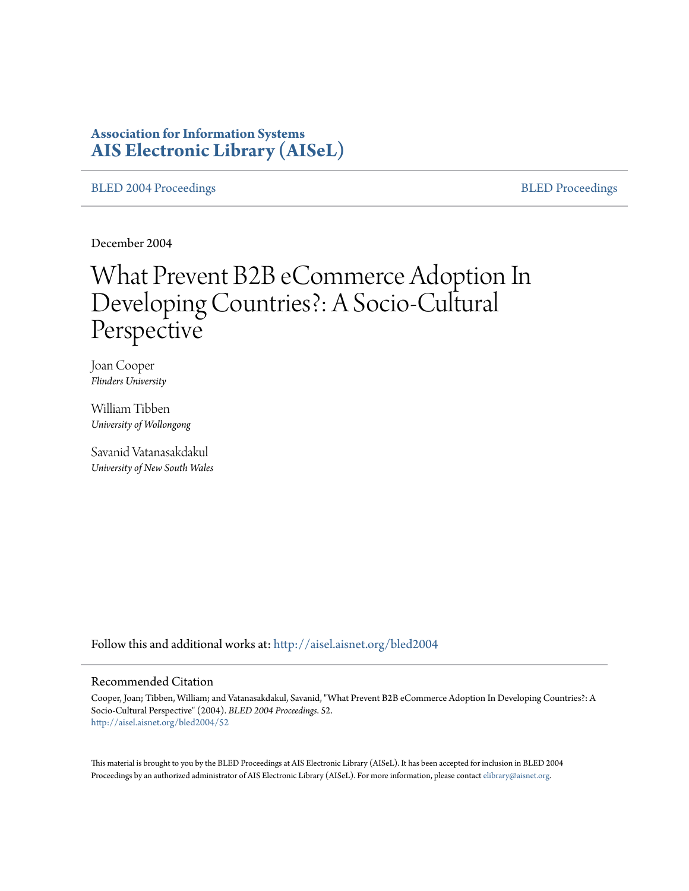# **Association for Information Systems [AIS Electronic Library \(AISeL\)](http://aisel.aisnet.org?utm_source=aisel.aisnet.org%2Fbled2004%2F52&utm_medium=PDF&utm_campaign=PDFCoverPages)**

[BLED 2004 Proceedings](http://aisel.aisnet.org/bled2004?utm_source=aisel.aisnet.org%2Fbled2004%2F52&utm_medium=PDF&utm_campaign=PDFCoverPages) and the state of the state of the [BLED Proceedings](http://aisel.aisnet.org/bled?utm_source=aisel.aisnet.org%2Fbled2004%2F52&utm_medium=PDF&utm_campaign=PDFCoverPages) and the BLED Proceedings and the BLED Proceedings and the BLED Proceedings and the BLED Proceedings and the BLED Proceedings and the BLED Proceedings

December 2004

# What Prevent B2B eCommerce Adoption In Developing Countries?: A Socio-Cultural Perspective

Joan Cooper *Flinders University*

William Tibben *University of Wollongong*

Savanid Vatanasakdakul *University of New South Wales*

Follow this and additional works at: [http://aisel.aisnet.org/bled2004](http://aisel.aisnet.org/bled2004?utm_source=aisel.aisnet.org%2Fbled2004%2F52&utm_medium=PDF&utm_campaign=PDFCoverPages)

#### Recommended Citation

Cooper, Joan; Tibben, William; and Vatanasakdakul, Savanid, "What Prevent B2B eCommerce Adoption In Developing Countries?: A Socio-Cultural Perspective" (2004). *BLED 2004 Proceedings*. 52. [http://aisel.aisnet.org/bled2004/52](http://aisel.aisnet.org/bled2004/52?utm_source=aisel.aisnet.org%2Fbled2004%2F52&utm_medium=PDF&utm_campaign=PDFCoverPages)

This material is brought to you by the BLED Proceedings at AIS Electronic Library (AISeL). It has been accepted for inclusion in BLED 2004 Proceedings by an authorized administrator of AIS Electronic Library (AISeL). For more information, please contact [elibrary@aisnet.org](mailto:elibrary@aisnet.org%3E).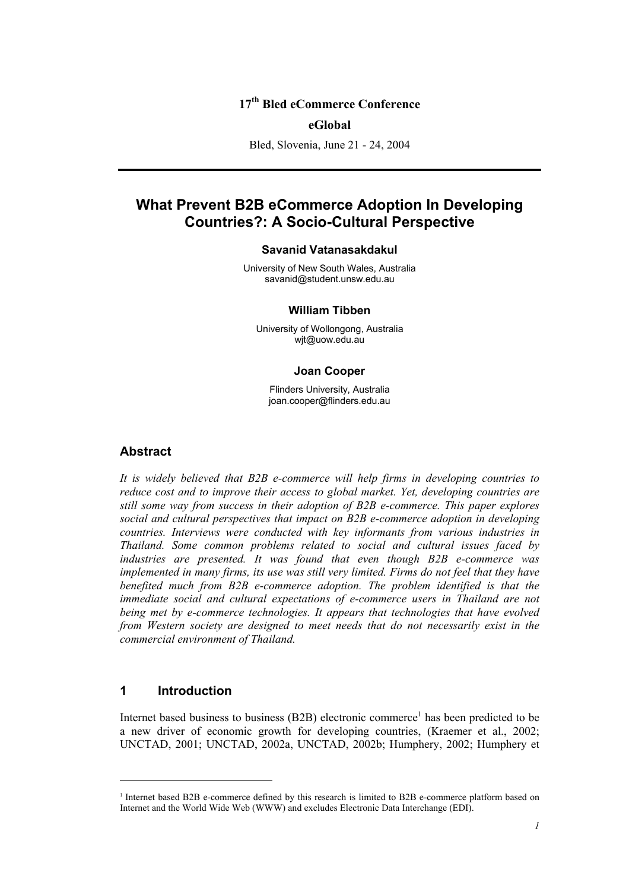## **17th Bled eCommerce Conference**

#### **eGlobal**

Bled, Slovenia, June 21 - 24, 2004

# **What Prevent B2B eCommerce Adoption In Developing Countries?: A Socio-Cultural Perspective**

#### **Savanid Vatanasakdakul**

University of New South Wales, Australia savanid@student.unsw.edu.au

#### **William Tibben**

University of Wollongong, Australia wjt@uow.edu.au

#### **Joan Cooper**

Flinders University, Australia joan.cooper@flinders.edu.au

#### **Abstract**

*It is widely believed that B2B e-commerce will help firms in developing countries to reduce cost and to improve their access to global market. Yet, developing countries are still some way from success in their adoption of B2B e-commerce. This paper explores social and cultural perspectives that impact on B2B e-commerce adoption in developing countries. Interviews were conducted with key informants from various industries in Thailand. Some common problems related to social and cultural issues faced by industries are presented. It was found that even though B2B e-commerce was implemented in many firms, its use was still very limited. Firms do not feel that they have benefited much from B2B e-commerce adoption. The problem identified is that the immediate social and cultural expectations of e-commerce users in Thailand are not being met by e-commerce technologies. It appears that technologies that have evolved from Western society are designed to meet needs that do not necessarily exist in the commercial environment of Thailand.* 

#### **1 Introduction**

l

Internet based business to business (B2B) electronic commerce<sup>1</sup> has been predicted to be a new driver of economic growth for developing countries, (Kraemer et al., 2002; UNCTAD, 2001; UNCTAD, 2002a, UNCTAD, 2002b; Humphery, 2002; Humphery et

<sup>&</sup>lt;sup>1</sup> Internet based B2B e-commerce defined by this research is limited to B2B e-commerce platform based on Internet and the World Wide Web (WWW) and excludes Electronic Data Interchange (EDI).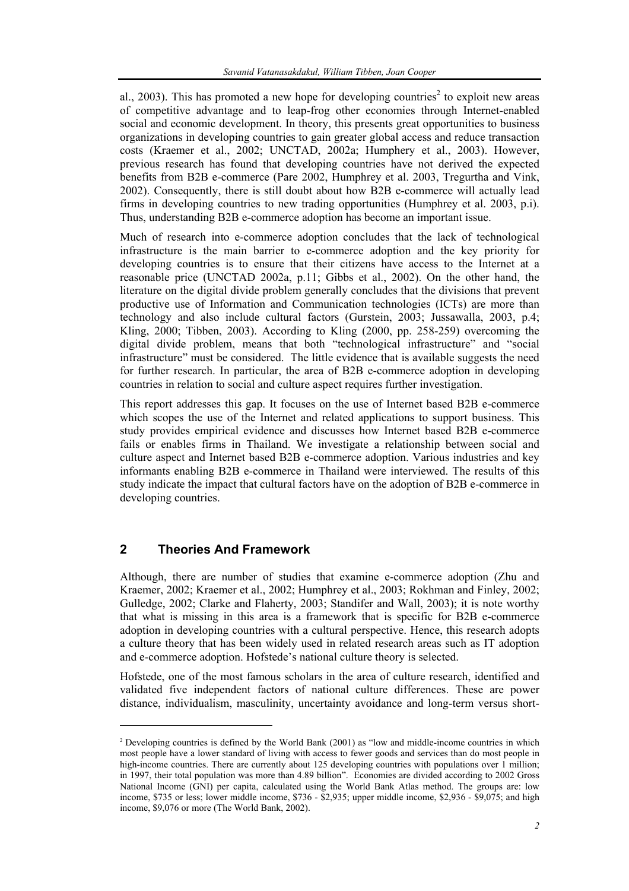al., 2003). This has promoted a new hope for developing countries<sup>2</sup> to exploit new areas of competitive advantage and to leap-frog other economies through Internet-enabled social and economic development. In theory, this presents great opportunities to business organizations in developing countries to gain greater global access and reduce transaction costs (Kraemer et al., 2002; UNCTAD, 2002a; Humphery et al., 2003). However, previous research has found that developing countries have not derived the expected benefits from B2B e-commerce (Pare 2002, Humphrey et al. 2003, Tregurtha and Vink, 2002). Consequently, there is still doubt about how B2B e-commerce will actually lead firms in developing countries to new trading opportunities (Humphrey et al. 2003, p.i). Thus, understanding B2B e-commerce adoption has become an important issue.

Much of research into e-commerce adoption concludes that the lack of technological infrastructure is the main barrier to e-commerce adoption and the key priority for developing countries is to ensure that their citizens have access to the Internet at a reasonable price (UNCTAD 2002a, p.11; Gibbs et al., 2002). On the other hand, the literature on the digital divide problem generally concludes that the divisions that prevent productive use of Information and Communication technologies (ICTs) are more than technology and also include cultural factors (Gurstein, 2003; Jussawalla, 2003, p.4; Kling, 2000; Tibben, 2003). According to Kling (2000, pp. 258-259) overcoming the digital divide problem, means that both "technological infrastructure" and "social infrastructure" must be considered. The little evidence that is available suggests the need for further research. In particular, the area of B2B e-commerce adoption in developing countries in relation to social and culture aspect requires further investigation.

This report addresses this gap. It focuses on the use of Internet based B2B e-commerce which scopes the use of the Internet and related applications to support business. This study provides empirical evidence and discusses how Internet based B2B e-commerce fails or enables firms in Thailand. We investigate a relationship between social and culture aspect and Internet based B2B e-commerce adoption. Various industries and key informants enabling B2B e-commerce in Thailand were interviewed. The results of this study indicate the impact that cultural factors have on the adoption of B2B e-commerce in developing countries.

## **2 Theories And Framework**

l

Although, there are number of studies that examine e-commerce adoption (Zhu and Kraemer, 2002; Kraemer et al., 2002; Humphrey et al., 2003; Rokhman and Finley, 2002; Gulledge, 2002; Clarke and Flaherty, 2003; Standifer and Wall, 2003); it is note worthy that what is missing in this area is a framework that is specific for B2B e-commerce adoption in developing countries with a cultural perspective. Hence, this research adopts a culture theory that has been widely used in related research areas such as IT adoption and e-commerce adoption. Hofstede's national culture theory is selected.

Hofstede, one of the most famous scholars in the area of culture research, identified and validated five independent factors of national culture differences. These are power distance, individualism, masculinity, uncertainty avoidance and long-term versus short-

<sup>2</sup> Developing countries is defined by the World Bank (2001) as "low and middle-income countries in which most people have a lower standard of living with access to fewer goods and services than do most people in high-income countries. There are currently about 125 developing countries with populations over 1 million; in 1997, their total population was more than 4.89 billion". Economies are divided according to 2002 Gross National Income (GNI) per capita, calculated using the World Bank Atlas method. The groups are: low income, \$735 or less; lower middle income, \$736 - \$2,935; upper middle income, \$2,936 - \$9,075; and high income, \$9,076 or more (The World Bank, 2002).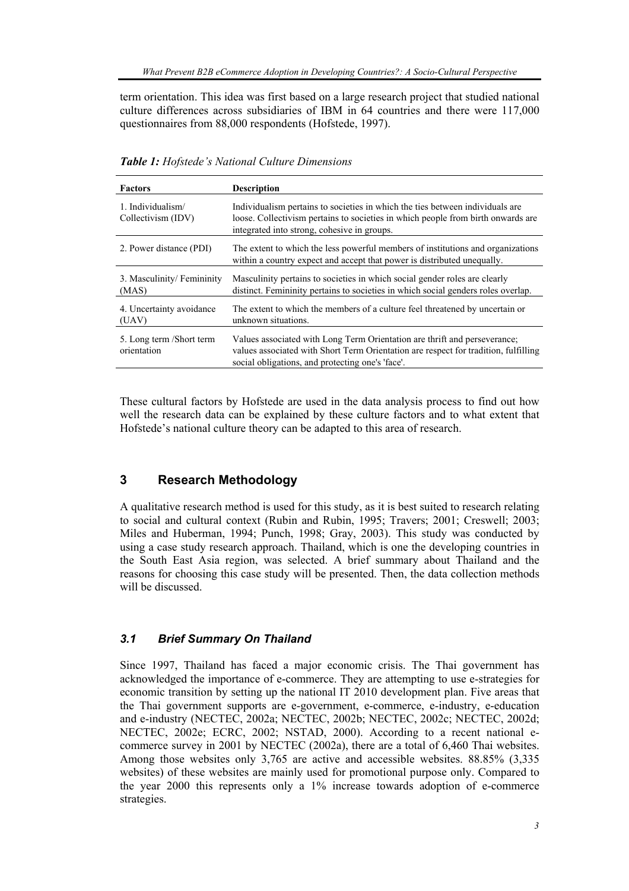term orientation. This idea was first based on a large research project that studied national culture differences across subsidiaries of IBM in 64 countries and there were 117,000 questionnaires from 88,000 respondents (Hofstede, 1997).

| <b>Factors</b>                          | <b>Description</b>                                                                                                                                                                                                   |
|-----------------------------------------|----------------------------------------------------------------------------------------------------------------------------------------------------------------------------------------------------------------------|
| 1. Individualism/<br>Collectivism (IDV) | Individualism pertains to societies in which the ties between individuals are<br>loose. Collectivism pertains to societies in which people from birth onwards are<br>integrated into strong, cohesive in groups.     |
| 2. Power distance (PDI)                 | The extent to which the less powerful members of institutions and organizations<br>within a country expect and accept that power is distributed unequally.                                                           |
| 3. Masculinity/Femininity<br>(MAS)      | Masculinity pertains to societies in which social gender roles are clearly<br>distinct. Femininity pertains to societies in which social genders roles overlap.                                                      |
| 4. Uncertainty avoidance<br>(UAV)       | The extent to which the members of a culture feel threatened by uncertain or<br>unknown situations.                                                                                                                  |
| 5. Long term /Short term<br>orientation | Values associated with Long Term Orientation are thrift and perseverance;<br>values associated with Short Term Orientation are respect for tradition, fulfilling<br>social obligations, and protecting one's 'face'. |

*Table 1: Hofstede's National Culture Dimensions* 

These cultural factors by Hofstede are used in the data analysis process to find out how well the research data can be explained by these culture factors and to what extent that Hofstede's national culture theory can be adapted to this area of research.

## **3 Research Methodology**

A qualitative research method is used for this study, as it is best suited to research relating to social and cultural context (Rubin and Rubin, 1995; Travers; 2001; Creswell; 2003; Miles and Huberman, 1994; Punch, 1998; Gray, 2003). This study was conducted by using a case study research approach. Thailand, which is one the developing countries in the South East Asia region, was selected. A brief summary about Thailand and the reasons for choosing this case study will be presented. Then, the data collection methods will be discussed.

#### *3.1 Brief Summary On Thailand*

Since 1997, Thailand has faced a major economic crisis. The Thai government has acknowledged the importance of e-commerce. They are attempting to use e-strategies for economic transition by setting up the national IT 2010 development plan. Five areas that the Thai government supports are e-government, e-commerce, e-industry, e-education and e-industry (NECTEC, 2002a; NECTEC, 2002b; NECTEC, 2002c; NECTEC, 2002d; NECTEC, 2002e; ECRC, 2002; NSTAD, 2000). According to a recent national ecommerce survey in 2001 by NECTEC (2002a), there are a total of 6,460 Thai websites. Among those websites only 3,765 are active and accessible websites. 88.85% (3,335 websites) of these websites are mainly used for promotional purpose only. Compared to the year 2000 this represents only a 1% increase towards adoption of e-commerce strategies.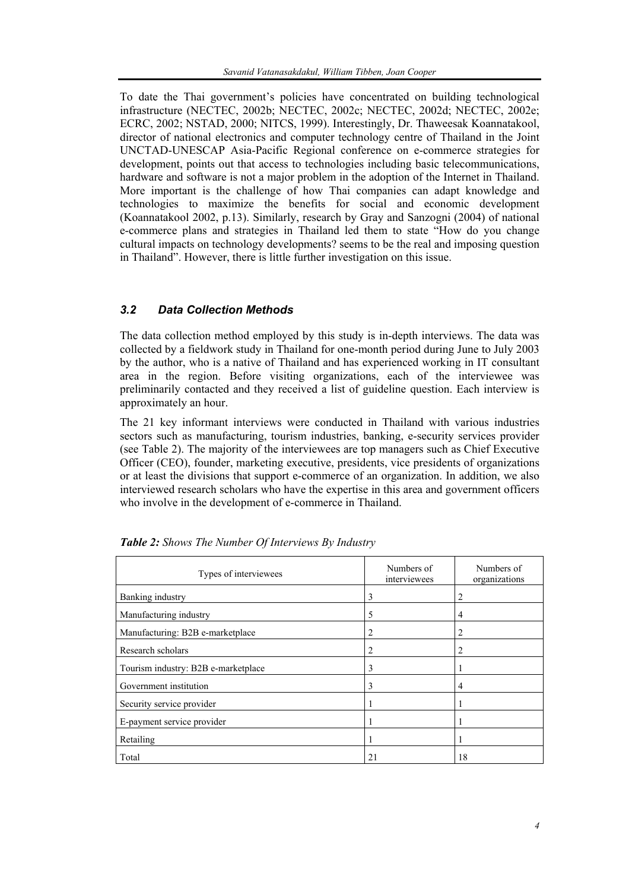To date the Thai government's policies have concentrated on building technological infrastructure (NECTEC, 2002b; NECTEC, 2002c; NECTEC, 2002d; NECTEC, 2002e; ECRC, 2002; NSTAD, 2000; NITCS, 1999). Interestingly, Dr. Thaweesak Koannatakool, director of national electronics and computer technology centre of Thailand in the Joint UNCTAD-UNESCAP Asia-Pacific Regional conference on e-commerce strategies for development, points out that access to technologies including basic telecommunications, hardware and software is not a major problem in the adoption of the Internet in Thailand. More important is the challenge of how Thai companies can adapt knowledge and technologies to maximize the benefits for social and economic development (Koannatakool 2002, p.13). Similarly, research by Gray and Sanzogni (2004) of national e-commerce plans and strategies in Thailand led them to state "How do you change cultural impacts on technology developments? seems to be the real and imposing question in Thailand". However, there is little further investigation on this issue.

## *3.2 Data Collection Methods*

The data collection method employed by this study is in-depth interviews. The data was collected by a fieldwork study in Thailand for one-month period during June to July 2003 by the author, who is a native of Thailand and has experienced working in IT consultant area in the region. Before visiting organizations, each of the interviewee was preliminarily contacted and they received a list of guideline question. Each interview is approximately an hour.

The 21 key informant interviews were conducted in Thailand with various industries sectors such as manufacturing, tourism industries, banking, e-security services provider (see Table 2). The majority of the interviewees are top managers such as Chief Executive Officer (CEO), founder, marketing executive, presidents, vice presidents of organizations or at least the divisions that support e-commerce of an organization. In addition, we also interviewed research scholars who have the expertise in this area and government officers who involve in the development of e-commerce in Thailand.

| Types of interviewees               | Numbers of<br>interviewees | Numbers of<br>organizations |
|-------------------------------------|----------------------------|-----------------------------|
| Banking industry                    | 3                          | 2                           |
| Manufacturing industry              | 5                          | 4                           |
| Manufacturing: B2B e-marketplace    | 2                          | 2                           |
| Research scholars                   | 2                          | 2                           |
| Tourism industry: B2B e-marketplace | 3                          |                             |
| Government institution              | 3                          | 4                           |
| Security service provider           |                            |                             |
| E-payment service provider          |                            |                             |
| Retailing                           |                            |                             |
| Total                               | 21                         | 18                          |

*Table 2: Shows The Number Of Interviews By Industry*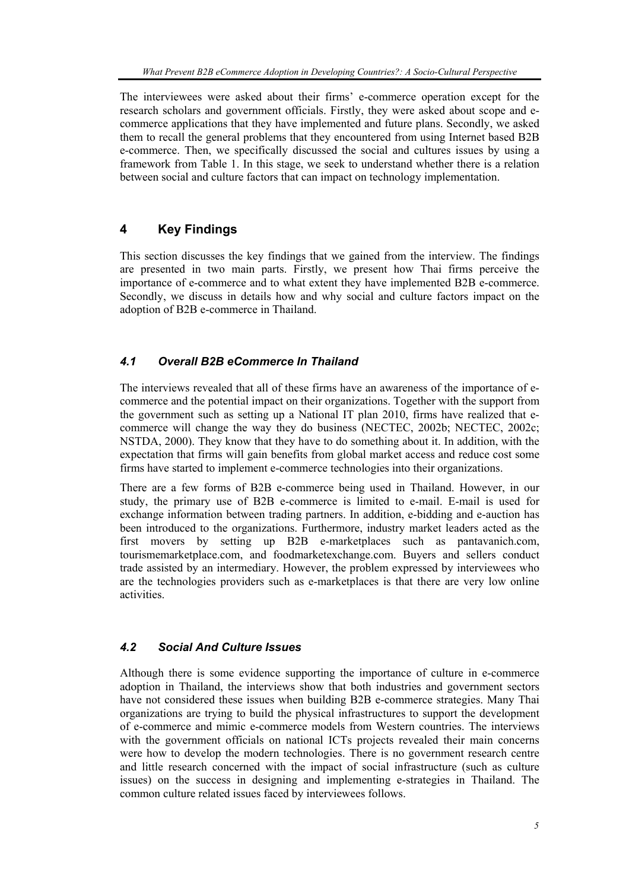The interviewees were asked about their firms' e-commerce operation except for the research scholars and government officials. Firstly, they were asked about scope and ecommerce applications that they have implemented and future plans. Secondly, we asked them to recall the general problems that they encountered from using Internet based B2B e-commerce. Then, we specifically discussed the social and cultures issues by using a framework from Table 1. In this stage, we seek to understand whether there is a relation between social and culture factors that can impact on technology implementation.

## **4 Key Findings**

This section discusses the key findings that we gained from the interview. The findings are presented in two main parts. Firstly, we present how Thai firms perceive the importance of e-commerce and to what extent they have implemented B2B e-commerce. Secondly, we discuss in details how and why social and culture factors impact on the adoption of B2B e-commerce in Thailand.

## *4.1 Overall B2B eCommerce In Thailand*

The interviews revealed that all of these firms have an awareness of the importance of ecommerce and the potential impact on their organizations. Together with the support from the government such as setting up a National IT plan 2010, firms have realized that ecommerce will change the way they do business (NECTEC, 2002b; NECTEC, 2002c; NSTDA, 2000). They know that they have to do something about it. In addition, with the expectation that firms will gain benefits from global market access and reduce cost some firms have started to implement e-commerce technologies into their organizations.

There are a few forms of B2B e-commerce being used in Thailand. However, in our study, the primary use of B2B e-commerce is limited to e-mail. E-mail is used for exchange information between trading partners. In addition, e-bidding and e-auction has been introduced to the organizations. Furthermore, industry market leaders acted as the first movers by setting up B2B e-marketplaces such as pantavanich.com, tourismemarketplace.com, and foodmarketexchange.com. Buyers and sellers conduct trade assisted by an intermediary. However, the problem expressed by interviewees who are the technologies providers such as e-marketplaces is that there are very low online activities.

## *4.2 Social And Culture Issues*

Although there is some evidence supporting the importance of culture in e-commerce adoption in Thailand, the interviews show that both industries and government sectors have not considered these issues when building B2B e-commerce strategies. Many Thai organizations are trying to build the physical infrastructures to support the development of e-commerce and mimic e-commerce models from Western countries. The interviews with the government officials on national ICTs projects revealed their main concerns were how to develop the modern technologies. There is no government research centre and little research concerned with the impact of social infrastructure (such as culture issues) on the success in designing and implementing e-strategies in Thailand. The common culture related issues faced by interviewees follows.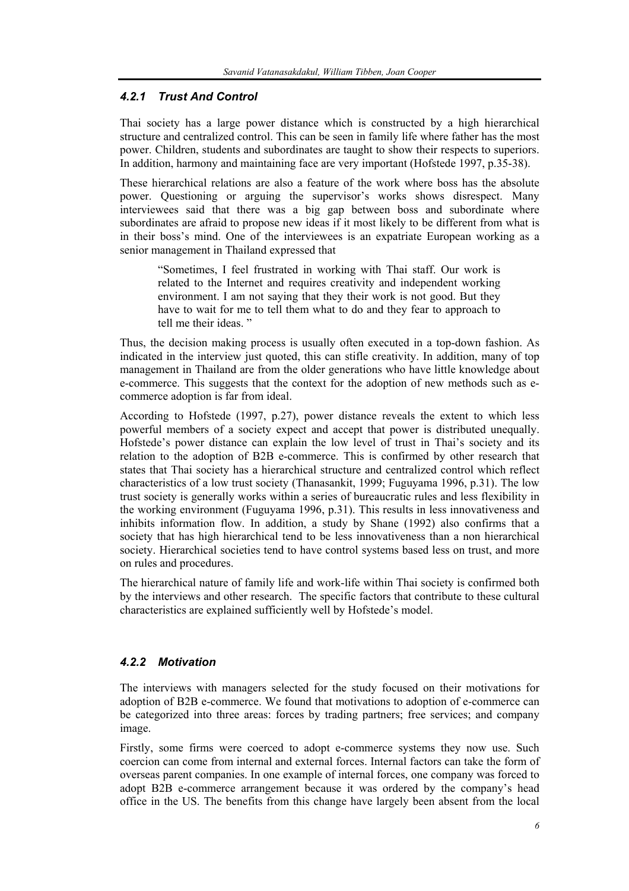#### *4.2.1 Trust And Control*

Thai society has a large power distance which is constructed by a high hierarchical structure and centralized control. This can be seen in family life where father has the most power. Children, students and subordinates are taught to show their respects to superiors. In addition, harmony and maintaining face are very important (Hofstede 1997, p.35-38).

These hierarchical relations are also a feature of the work where boss has the absolute power. Questioning or arguing the supervisor's works shows disrespect. Many interviewees said that there was a big gap between boss and subordinate where subordinates are afraid to propose new ideas if it most likely to be different from what is in their boss's mind. One of the interviewees is an expatriate European working as a senior management in Thailand expressed that

"Sometimes, I feel frustrated in working with Thai staff. Our work is related to the Internet and requires creativity and independent working environment. I am not saying that they their work is not good. But they have to wait for me to tell them what to do and they fear to approach to tell me their ideas. "

Thus, the decision making process is usually often executed in a top-down fashion. As indicated in the interview just quoted, this can stifle creativity. In addition, many of top management in Thailand are from the older generations who have little knowledge about e-commerce. This suggests that the context for the adoption of new methods such as ecommerce adoption is far from ideal.

According to Hofstede (1997, p.27), power distance reveals the extent to which less powerful members of a society expect and accept that power is distributed unequally. Hofstede's power distance can explain the low level of trust in Thai's society and its relation to the adoption of B2B e-commerce. This is confirmed by other research that states that Thai society has a hierarchical structure and centralized control which reflect characteristics of a low trust society (Thanasankit, 1999; Fuguyama 1996, p.31). The low trust society is generally works within a series of bureaucratic rules and less flexibility in the working environment (Fuguyama 1996, p.31). This results in less innovativeness and inhibits information flow. In addition, a study by Shane (1992) also confirms that a society that has high hierarchical tend to be less innovativeness than a non hierarchical society. Hierarchical societies tend to have control systems based less on trust, and more on rules and procedures.

The hierarchical nature of family life and work-life within Thai society is confirmed both by the interviews and other research. The specific factors that contribute to these cultural characteristics are explained sufficiently well by Hofstede's model.

#### *4.2.2 Motivation*

The interviews with managers selected for the study focused on their motivations for adoption of B2B e-commerce. We found that motivations to adoption of e-commerce can be categorized into three areas: forces by trading partners; free services; and company image.

Firstly, some firms were coerced to adopt e-commerce systems they now use. Such coercion can come from internal and external forces. Internal factors can take the form of overseas parent companies. In one example of internal forces, one company was forced to adopt B2B e-commerce arrangement because it was ordered by the company's head office in the US. The benefits from this change have largely been absent from the local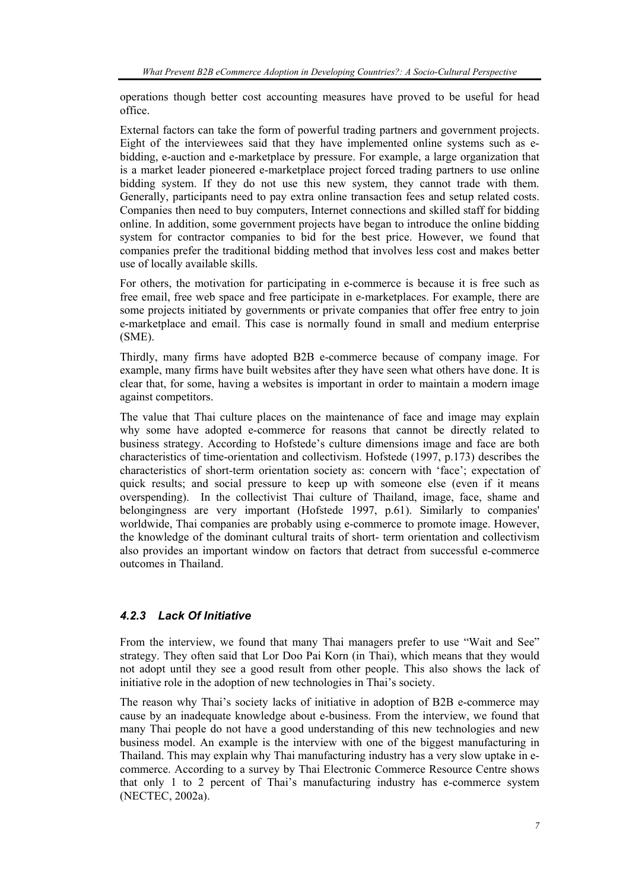operations though better cost accounting measures have proved to be useful for head office.

External factors can take the form of powerful trading partners and government projects. Eight of the interviewees said that they have implemented online systems such as ebidding, e-auction and e-marketplace by pressure. For example, a large organization that is a market leader pioneered e-marketplace project forced trading partners to use online bidding system. If they do not use this new system, they cannot trade with them. Generally, participants need to pay extra online transaction fees and setup related costs. Companies then need to buy computers, Internet connections and skilled staff for bidding online. In addition, some government projects have began to introduce the online bidding system for contractor companies to bid for the best price. However, we found that companies prefer the traditional bidding method that involves less cost and makes better use of locally available skills.

For others, the motivation for participating in e-commerce is because it is free such as free email, free web space and free participate in e-marketplaces. For example, there are some projects initiated by governments or private companies that offer free entry to join e-marketplace and email. This case is normally found in small and medium enterprise (SME).

Thirdly, many firms have adopted B2B e-commerce because of company image. For example, many firms have built websites after they have seen what others have done. It is clear that, for some, having a websites is important in order to maintain a modern image against competitors.

The value that Thai culture places on the maintenance of face and image may explain why some have adopted e-commerce for reasons that cannot be directly related to business strategy. According to Hofstede's culture dimensions image and face are both characteristics of time-orientation and collectivism. Hofstede (1997, p.173) describes the characteristics of short-term orientation society as: concern with 'face'; expectation of quick results; and social pressure to keep up with someone else (even if it means overspending). In the collectivist Thai culture of Thailand, image, face, shame and belongingness are very important (Hofstede 1997, p.61). Similarly to companies' worldwide, Thai companies are probably using e-commerce to promote image. However, the knowledge of the dominant cultural traits of short- term orientation and collectivism also provides an important window on factors that detract from successful e-commerce outcomes in Thailand.

## *4.2.3 Lack Of Initiative*

From the interview, we found that many Thai managers prefer to use "Wait and See" strategy. They often said that Lor Doo Pai Korn (in Thai), which means that they would not adopt until they see a good result from other people. This also shows the lack of initiative role in the adoption of new technologies in Thai's society.

The reason why Thai's society lacks of initiative in adoption of B2B e-commerce may cause by an inadequate knowledge about e-business. From the interview, we found that many Thai people do not have a good understanding of this new technologies and new business model. An example is the interview with one of the biggest manufacturing in Thailand. This may explain why Thai manufacturing industry has a very slow uptake in ecommerce. According to a survey by Thai Electronic Commerce Resource Centre shows that only 1 to 2 percent of Thai's manufacturing industry has e-commerce system (NECTEC, 2002a).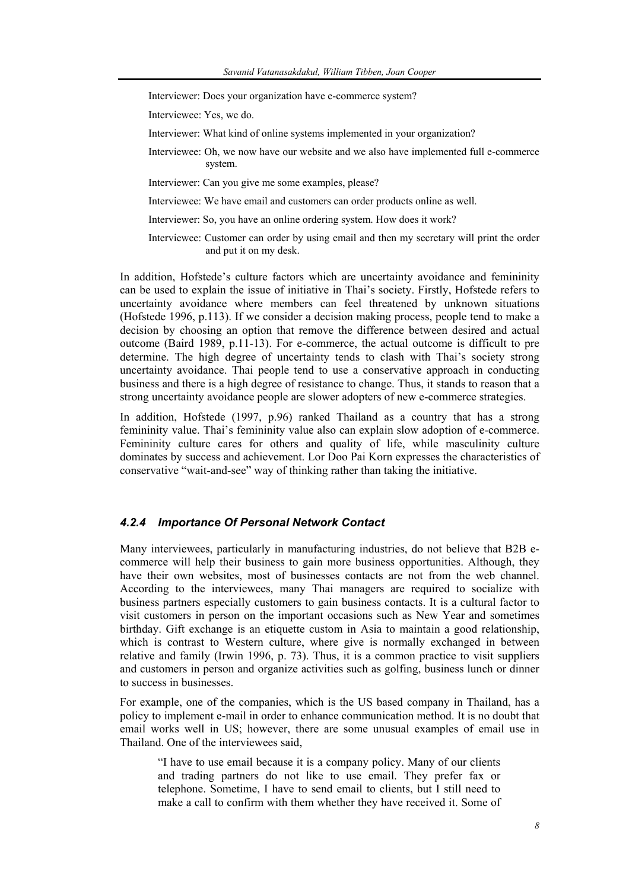Interviewer: Does your organization have e-commerce system?

Interviewee: Yes, we do.

- Interviewer: What kind of online systems implemented in your organization?
- Interviewee: Oh, we now have our website and we also have implemented full e-commerce system.
- Interviewer: Can you give me some examples, please?
- Interviewee: We have email and customers can order products online as well.
- Interviewer: So, you have an online ordering system. How does it work?
- Interviewee: Customer can order by using email and then my secretary will print the order and put it on my desk.

In addition, Hofstede's culture factors which are uncertainty avoidance and femininity can be used to explain the issue of initiative in Thai's society. Firstly, Hofstede refers to uncertainty avoidance where members can feel threatened by unknown situations (Hofstede 1996, p.113). If we consider a decision making process, people tend to make a decision by choosing an option that remove the difference between desired and actual outcome (Baird 1989, p.11-13). For e-commerce, the actual outcome is difficult to pre determine. The high degree of uncertainty tends to clash with Thai's society strong uncertainty avoidance. Thai people tend to use a conservative approach in conducting business and there is a high degree of resistance to change. Thus, it stands to reason that a strong uncertainty avoidance people are slower adopters of new e-commerce strategies.

In addition, Hofstede (1997, p.96) ranked Thailand as a country that has a strong femininity value. Thai's femininity value also can explain slow adoption of e-commerce. Femininity culture cares for others and quality of life, while masculinity culture dominates by success and achievement. Lor Doo Pai Korn expresses the characteristics of conservative "wait-and-see" way of thinking rather than taking the initiative.

#### *4.2.4 Importance Of Personal Network Contact*

Many interviewees, particularly in manufacturing industries, do not believe that B2B ecommerce will help their business to gain more business opportunities. Although, they have their own websites, most of businesses contacts are not from the web channel. According to the interviewees, many Thai managers are required to socialize with business partners especially customers to gain business contacts. It is a cultural factor to visit customers in person on the important occasions such as New Year and sometimes birthday. Gift exchange is an etiquette custom in Asia to maintain a good relationship, which is contrast to Western culture, where give is normally exchanged in between relative and family (Irwin 1996, p. 73). Thus, it is a common practice to visit suppliers and customers in person and organize activities such as golfing, business lunch or dinner to success in businesses.

For example, one of the companies, which is the US based company in Thailand, has a policy to implement e-mail in order to enhance communication method. It is no doubt that email works well in US; however, there are some unusual examples of email use in Thailand. One of the interviewees said,

"I have to use email because it is a company policy. Many of our clients and trading partners do not like to use email. They prefer fax or telephone. Sometime, I have to send email to clients, but I still need to make a call to confirm with them whether they have received it. Some of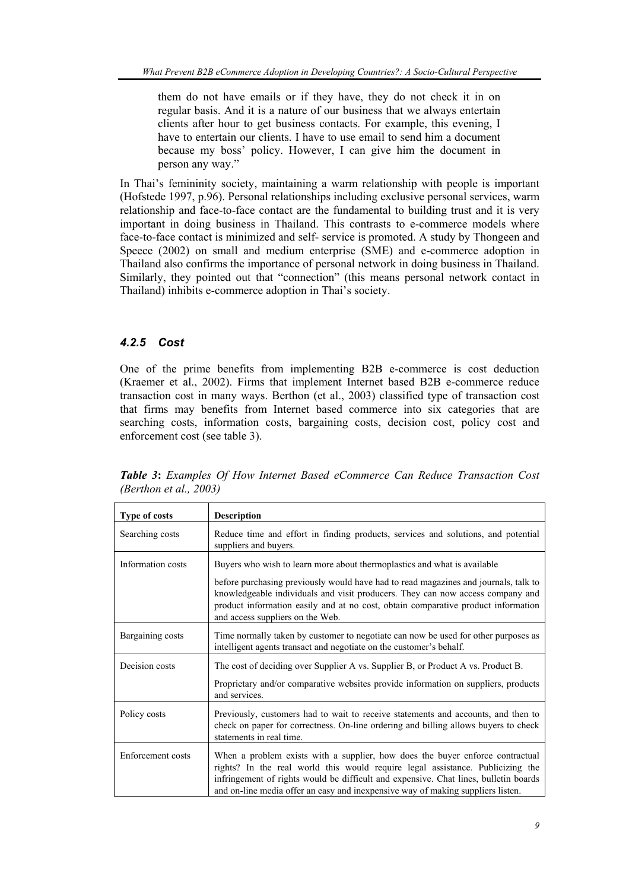them do not have emails or if they have, they do not check it in on regular basis. And it is a nature of our business that we always entertain clients after hour to get business contacts. For example, this evening, I have to entertain our clients. I have to use email to send him a document because my boss' policy. However, I can give him the document in person any way."

In Thai's femininity society, maintaining a warm relationship with people is important (Hofstede 1997, p.96). Personal relationships including exclusive personal services, warm relationship and face-to-face contact are the fundamental to building trust and it is very important in doing business in Thailand. This contrasts to e-commerce models where face-to-face contact is minimized and self- service is promoted. A study by Thongeen and Speece (2002) on small and medium enterprise (SME) and e-commerce adoption in Thailand also confirms the importance of personal network in doing business in Thailand. Similarly, they pointed out that "connection" (this means personal network contact in Thailand) inhibits e-commerce adoption in Thai's society.

## *4.2.5 Cost*

One of the prime benefits from implementing B2B e-commerce is cost deduction (Kraemer et al., 2002). Firms that implement Internet based B2B e-commerce reduce transaction cost in many ways. Berthon (et al., 2003) classified type of transaction cost that firms may benefits from Internet based commerce into six categories that are searching costs, information costs, bargaining costs, decision cost, policy cost and enforcement cost (see table 3).

| <b>Type of costs</b> | <b>Description</b>                                                                                                                                                                                                                                                                                                                         |
|----------------------|--------------------------------------------------------------------------------------------------------------------------------------------------------------------------------------------------------------------------------------------------------------------------------------------------------------------------------------------|
| Searching costs      | Reduce time and effort in finding products, services and solutions, and potential<br>suppliers and buyers.                                                                                                                                                                                                                                 |
| Information costs    | Buyers who wish to learn more about thermoplastics and what is available                                                                                                                                                                                                                                                                   |
|                      | before purchasing previously would have had to read magazines and journals, talk to<br>knowledgeable individuals and visit producers. They can now access company and<br>product information easily and at no cost, obtain comparative product information<br>and access suppliers on the Web.                                             |
| Bargaining costs     | Time normally taken by customer to negotiate can now be used for other purposes as<br>intelligent agents transact and negotiate on the customer's behalf.                                                                                                                                                                                  |
| Decision costs       | The cost of deciding over Supplier A vs. Supplier B, or Product A vs. Product B.<br>Proprietary and/or comparative websites provide information on suppliers, products<br>and services.                                                                                                                                                    |
| Policy costs         | Previously, customers had to wait to receive statements and accounts, and then to<br>check on paper for correctness. On-line ordering and billing allows buyers to check<br>statements in real time.                                                                                                                                       |
| Enforcement costs    | When a problem exists with a supplier, how does the buyer enforce contractual<br>rights? In the real world this would require legal assistance. Publicizing the<br>infringement of rights would be difficult and expensive. Chat lines, bulletin boards<br>and on-line media offer an easy and inexpensive way of making suppliers listen. |

*Table 3***:** *Examples Of How Internet Based eCommerce Can Reduce Transaction Cost (Berthon et al., 2003)*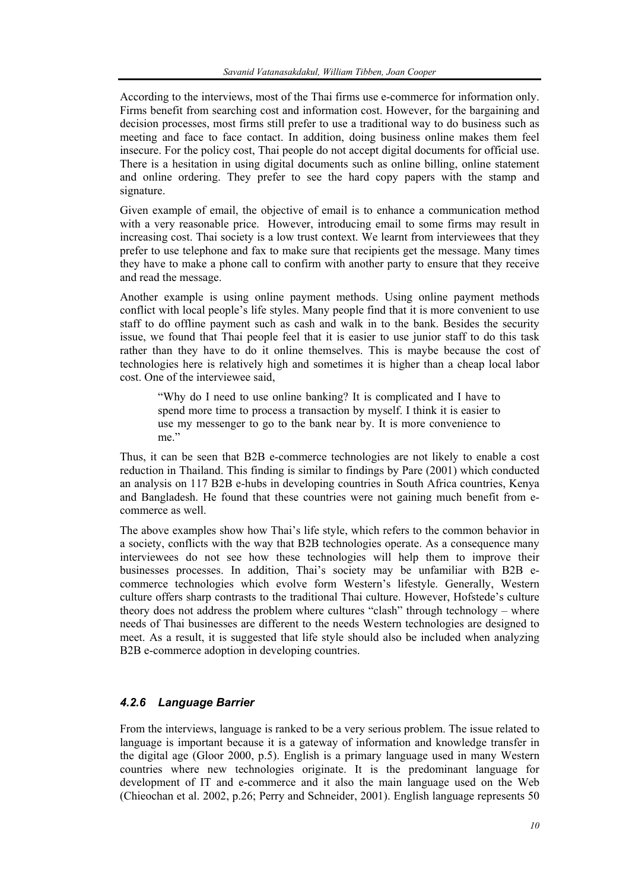According to the interviews, most of the Thai firms use e-commerce for information only. Firms benefit from searching cost and information cost. However, for the bargaining and decision processes, most firms still prefer to use a traditional way to do business such as meeting and face to face contact. In addition, doing business online makes them feel insecure. For the policy cost, Thai people do not accept digital documents for official use. There is a hesitation in using digital documents such as online billing, online statement and online ordering. They prefer to see the hard copy papers with the stamp and signature.

Given example of email, the objective of email is to enhance a communication method with a very reasonable price. However, introducing email to some firms may result in increasing cost. Thai society is a low trust context. We learnt from interviewees that they prefer to use telephone and fax to make sure that recipients get the message. Many times they have to make a phone call to confirm with another party to ensure that they receive and read the message.

Another example is using online payment methods. Using online payment methods conflict with local people's life styles. Many people find that it is more convenient to use staff to do offline payment such as cash and walk in to the bank. Besides the security issue, we found that Thai people feel that it is easier to use junior staff to do this task rather than they have to do it online themselves. This is maybe because the cost of technologies here is relatively high and sometimes it is higher than a cheap local labor cost. One of the interviewee said,

"Why do I need to use online banking? It is complicated and I have to spend more time to process a transaction by myself. I think it is easier to use my messenger to go to the bank near by. It is more convenience to me"

Thus, it can be seen that B2B e-commerce technologies are not likely to enable a cost reduction in Thailand. This finding is similar to findings by Pare (2001) which conducted an analysis on 117 B2B e-hubs in developing countries in South Africa countries, Kenya and Bangladesh. He found that these countries were not gaining much benefit from ecommerce as well.

The above examples show how Thai's life style, which refers to the common behavior in a society, conflicts with the way that B2B technologies operate. As a consequence many interviewees do not see how these technologies will help them to improve their businesses processes. In addition, Thai's society may be unfamiliar with B2B ecommerce technologies which evolve form Western's lifestyle. Generally, Western culture offers sharp contrasts to the traditional Thai culture. However, Hofstede's culture theory does not address the problem where cultures "clash" through technology – where needs of Thai businesses are different to the needs Western technologies are designed to meet. As a result, it is suggested that life style should also be included when analyzing B2B e-commerce adoption in developing countries.

## *4.2.6 Language Barrier*

From the interviews, language is ranked to be a very serious problem. The issue related to language is important because it is a gateway of information and knowledge transfer in the digital age (Gloor 2000, p.5). English is a primary language used in many Western countries where new technologies originate. It is the predominant language for development of IT and e-commerce and it also the main language used on the Web (Chieochan et al. 2002, p.26; Perry and Schneider, 2001). English language represents 50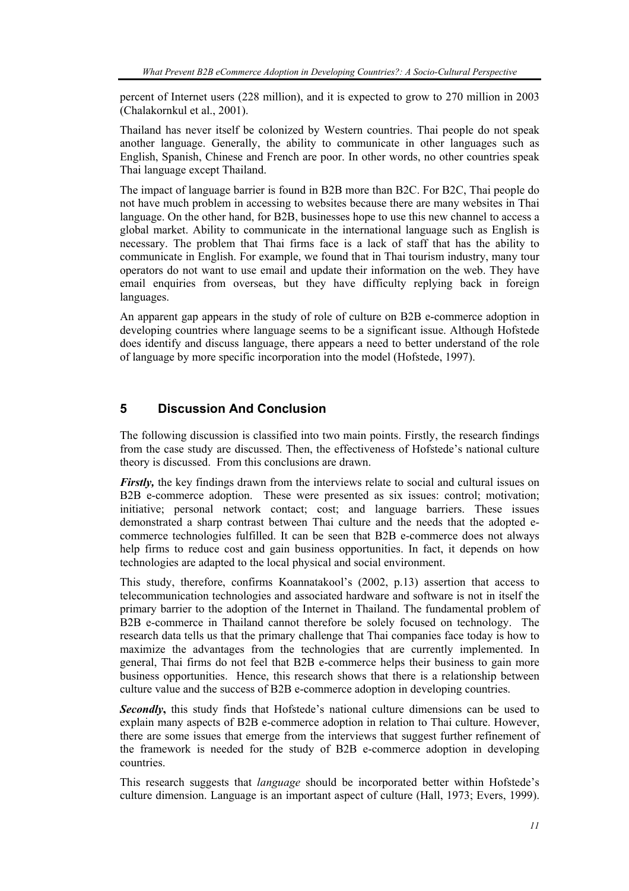percent of Internet users (228 million), and it is expected to grow to 270 million in 2003 (Chalakornkul et al., 2001).

Thailand has never itself be colonized by Western countries. Thai people do not speak another language. Generally, the ability to communicate in other languages such as English, Spanish, Chinese and French are poor. In other words, no other countries speak Thai language except Thailand.

The impact of language barrier is found in B2B more than B2C. For B2C, Thai people do not have much problem in accessing to websites because there are many websites in Thai language. On the other hand, for B2B, businesses hope to use this new channel to access a global market. Ability to communicate in the international language such as English is necessary. The problem that Thai firms face is a lack of staff that has the ability to communicate in English. For example, we found that in Thai tourism industry, many tour operators do not want to use email and update their information on the web. They have email enquiries from overseas, but they have difficulty replying back in foreign languages.

An apparent gap appears in the study of role of culture on B2B e-commerce adoption in developing countries where language seems to be a significant issue. Although Hofstede does identify and discuss language, there appears a need to better understand of the role of language by more specific incorporation into the model (Hofstede, 1997).

## **5 Discussion And Conclusion**

The following discussion is classified into two main points. Firstly, the research findings from the case study are discussed. Then, the effectiveness of Hofstede's national culture theory is discussed. From this conclusions are drawn.

*Firstly*, the key findings drawn from the interviews relate to social and cultural issues on B2B e-commerce adoption. These were presented as six issues: control; motivation; initiative; personal network contact; cost; and language barriers. These issues demonstrated a sharp contrast between Thai culture and the needs that the adopted ecommerce technologies fulfilled. It can be seen that B2B e-commerce does not always help firms to reduce cost and gain business opportunities. In fact, it depends on how technologies are adapted to the local physical and social environment.

This study, therefore, confirms Koannatakool's (2002, p.13) assertion that access to telecommunication technologies and associated hardware and software is not in itself the primary barrier to the adoption of the Internet in Thailand. The fundamental problem of B2B e-commerce in Thailand cannot therefore be solely focused on technology. The research data tells us that the primary challenge that Thai companies face today is how to maximize the advantages from the technologies that are currently implemented. In general, Thai firms do not feel that B2B e-commerce helps their business to gain more business opportunities. Hence, this research shows that there is a relationship between culture value and the success of B2B e-commerce adoption in developing countries.

**Secondly**, this study finds that Hofstede's national culture dimensions can be used to explain many aspects of B2B e-commerce adoption in relation to Thai culture. However, there are some issues that emerge from the interviews that suggest further refinement of the framework is needed for the study of B2B e-commerce adoption in developing countries.

This research suggests that *language* should be incorporated better within Hofstede's culture dimension. Language is an important aspect of culture (Hall, 1973; Evers, 1999).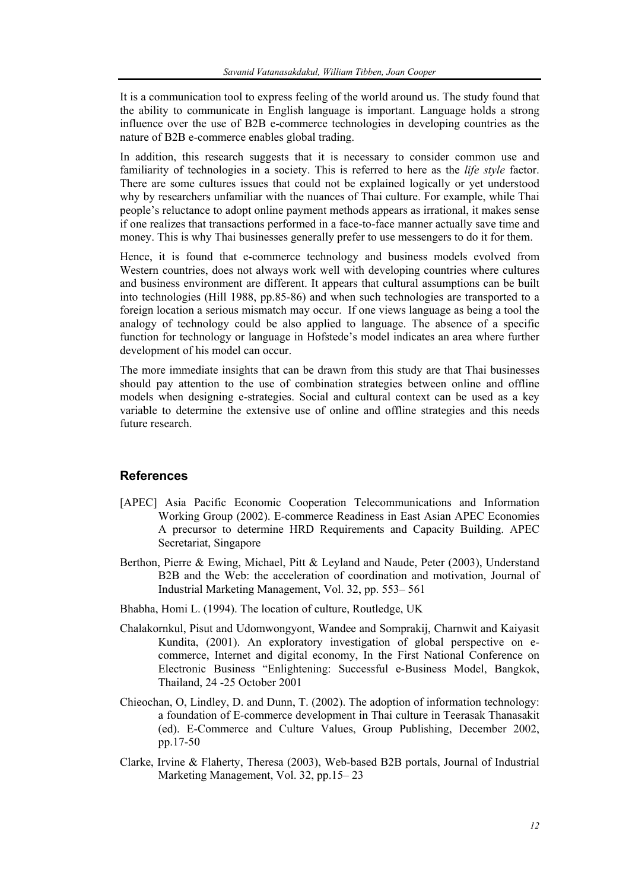It is a communication tool to express feeling of the world around us. The study found that the ability to communicate in English language is important. Language holds a strong influence over the use of B2B e-commerce technologies in developing countries as the nature of B2B e-commerce enables global trading.

In addition, this research suggests that it is necessary to consider common use and familiarity of technologies in a society. This is referred to here as the *life style* factor. There are some cultures issues that could not be explained logically or yet understood why by researchers unfamiliar with the nuances of Thai culture. For example, while Thai people's reluctance to adopt online payment methods appears as irrational, it makes sense if one realizes that transactions performed in a face-to-face manner actually save time and money. This is why Thai businesses generally prefer to use messengers to do it for them.

Hence, it is found that e-commerce technology and business models evolved from Western countries, does not always work well with developing countries where cultures and business environment are different. It appears that cultural assumptions can be built into technologies (Hill 1988, pp.85-86) and when such technologies are transported to a foreign location a serious mismatch may occur. If one views language as being a tool the analogy of technology could be also applied to language. The absence of a specific function for technology or language in Hofstede's model indicates an area where further development of his model can occur.

The more immediate insights that can be drawn from this study are that Thai businesses should pay attention to the use of combination strategies between online and offline models when designing e-strategies. Social and cultural context can be used as a key variable to determine the extensive use of online and offline strategies and this needs future research.

## **References**

- [APEC] Asia Pacific Economic Cooperation Telecommunications and Information Working Group (2002). E-commerce Readiness in East Asian APEC Economies A precursor to determine HRD Requirements and Capacity Building. APEC Secretariat, Singapore
- Berthon, Pierre & Ewing, Michael, Pitt & Leyland and Naude, Peter (2003), Understand B2B and the Web: the acceleration of coordination and motivation, Journal of Industrial Marketing Management, Vol. 32, pp. 553– 561
- Bhabha, Homi L. (1994). The location of culture, Routledge, UK
- Chalakornkul, Pisut and Udomwongyont, Wandee and Somprakij, Charnwit and Kaiyasit Kundita, (2001). An exploratory investigation of global perspective on ecommerce, Internet and digital economy, In the First National Conference on Electronic Business "Enlightening: Successful e-Business Model, Bangkok, Thailand, 24 -25 October 2001
- Chieochan, O, Lindley, D. and Dunn, T. (2002). The adoption of information technology: a foundation of E-commerce development in Thai culture in Teerasak Thanasakit (ed). E-Commerce and Culture Values, Group Publishing, December 2002, pp.17-50
- Clarke, Irvine & Flaherty, Theresa (2003), Web-based B2B portals, Journal of Industrial Marketing Management, Vol. 32, pp.15– 23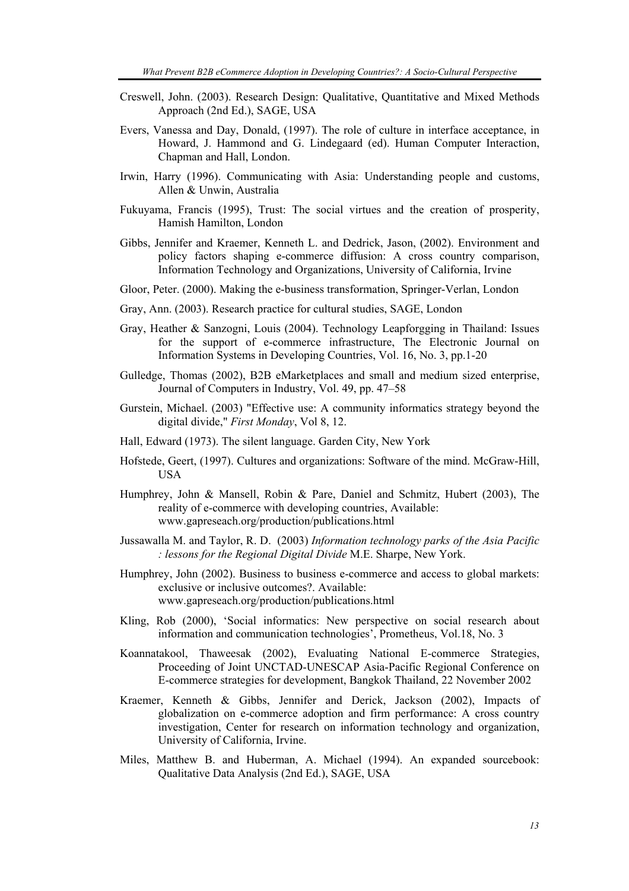- Creswell, John. (2003). Research Design: Qualitative, Quantitative and Mixed Methods Approach (2nd Ed.), SAGE, USA
- Evers, Vanessa and Day, Donald, (1997). The role of culture in interface acceptance, in Howard, J. Hammond and G. Lindegaard (ed). Human Computer Interaction, Chapman and Hall, London.
- Irwin, Harry (1996). Communicating with Asia: Understanding people and customs, Allen & Unwin, Australia
- Fukuyama, Francis (1995), Trust: The social virtues and the creation of prosperity, Hamish Hamilton, London
- Gibbs, Jennifer and Kraemer, Kenneth L. and Dedrick, Jason, (2002). Environment and policy factors shaping e-commerce diffusion: A cross country comparison, Information Technology and Organizations, University of California, Irvine
- Gloor, Peter. (2000). Making the e-business transformation, Springer-Verlan, London
- Gray, Ann. (2003). Research practice for cultural studies, SAGE, London
- Gray, Heather & Sanzogni, Louis (2004). Technology Leapforgging in Thailand: Issues for the support of e-commerce infrastructure, The Electronic Journal on Information Systems in Developing Countries, Vol. 16, No. 3, pp.1-20
- Gulledge, Thomas (2002), B2B eMarketplaces and small and medium sized enterprise, Journal of Computers in Industry, Vol. 49, pp. 47–58
- Gurstein, Michael. (2003) "Effective use: A community informatics strategy beyond the digital divide," *First Monday*, Vol 8, 12.
- Hall, Edward (1973). The silent language. Garden City, New York
- Hofstede, Geert, (1997). Cultures and organizations: Software of the mind. McGraw-Hill, USA
- Humphrey, John & Mansell, Robin & Pare, Daniel and Schmitz, Hubert (2003), The reality of e-commerce with developing countries, Available: www.gapreseach.org/production/publications.html
- Jussawalla M. and Taylor, R. D. (2003) *Information technology parks of the Asia Pacific : lessons for the Regional Digital Divide* M.E. Sharpe, New York.
- Humphrey, John (2002). Business to business e-commerce and access to global markets: exclusive or inclusive outcomes?. Available: www.gapreseach.org/production/publications.html
- Kling, Rob (2000), 'Social informatics: New perspective on social research about information and communication technologies', Prometheus, Vol.18, No. 3
- Koannatakool, Thaweesak (2002), Evaluating National E-commerce Strategies, Proceeding of Joint UNCTAD-UNESCAP Asia-Pacific Regional Conference on E-commerce strategies for development, Bangkok Thailand, 22 November 2002
- Kraemer, Kenneth & Gibbs, Jennifer and Derick, Jackson (2002), Impacts of globalization on e-commerce adoption and firm performance: A cross country investigation, Center for research on information technology and organization, University of California, Irvine.
- Miles, Matthew B. and Huberman, A. Michael (1994). An expanded sourcebook: Qualitative Data Analysis (2nd Ed.), SAGE, USA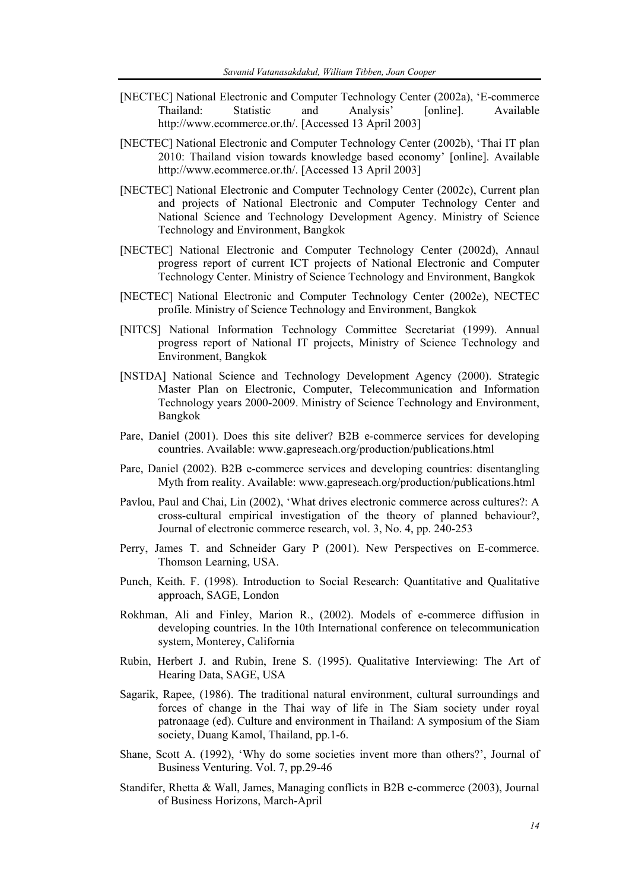- [NECTEC] National Electronic and Computer Technology Center (2002a), 'E-commerce Thailand: Statistic and Analysis' [online]. Available http://www.ecommerce.or.th/. [Accessed 13 April 2003]
- [NECTEC] National Electronic and Computer Technology Center (2002b), 'Thai IT plan 2010: Thailand vision towards knowledge based economy' [online]. Available http://www.ecommerce.or.th/. [Accessed 13 April 2003]
- [NECTEC] National Electronic and Computer Technology Center (2002c), Current plan and projects of National Electronic and Computer Technology Center and National Science and Technology Development Agency. Ministry of Science Technology and Environment, Bangkok
- [NECTEC] National Electronic and Computer Technology Center (2002d), Annaul progress report of current ICT projects of National Electronic and Computer Technology Center. Ministry of Science Technology and Environment, Bangkok
- [NECTEC] National Electronic and Computer Technology Center (2002e), NECTEC profile. Ministry of Science Technology and Environment, Bangkok
- [NITCS] National Information Technology Committee Secretariat (1999). Annual progress report of National IT projects, Ministry of Science Technology and Environment, Bangkok
- [NSTDA] National Science and Technology Development Agency (2000). Strategic Master Plan on Electronic, Computer, Telecommunication and Information Technology years 2000-2009. Ministry of Science Technology and Environment, Bangkok
- Pare, Daniel (2001). Does this site deliver? B2B e-commerce services for developing countries. Available: www.gapreseach.org/production/publications.html
- Pare, Daniel (2002). B2B e-commerce services and developing countries: disentangling Myth from reality. Available: www.gapreseach.org/production/publications.html
- Pavlou, Paul and Chai, Lin (2002), 'What drives electronic commerce across cultures?: A cross-cultural empirical investigation of the theory of planned behaviour?, Journal of electronic commerce research, vol. 3, No. 4, pp. 240-253
- Perry, James T. and Schneider Gary P (2001). New Perspectives on E-commerce. Thomson Learning, USA.
- Punch, Keith. F. (1998). Introduction to Social Research: Quantitative and Qualitative approach, SAGE, London
- Rokhman, Ali and Finley, Marion R., (2002). Models of e-commerce diffusion in developing countries. In the 10th International conference on telecommunication system, Monterey, California
- Rubin, Herbert J. and Rubin, Irene S. (1995). Qualitative Interviewing: The Art of Hearing Data, SAGE, USA
- Sagarik, Rapee, (1986). The traditional natural environment, cultural surroundings and forces of change in the Thai way of life in The Siam society under royal patronaage (ed). Culture and environment in Thailand: A symposium of the Siam society, Duang Kamol, Thailand, pp.1-6.
- Shane, Scott A. (1992), 'Why do some societies invent more than others?', Journal of Business Venturing. Vol. 7, pp.29-46
- Standifer, Rhetta & Wall, James, Managing conflicts in B2B e-commerce (2003), Journal of Business Horizons, March-April